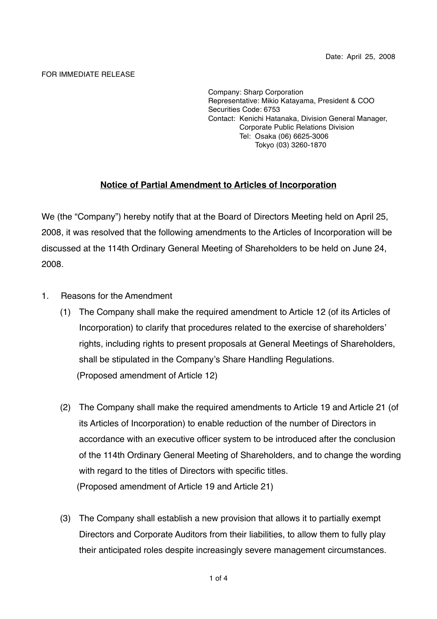#### FOR IMMEDIATE RELEASE

Company: Sharp Corporation Representative: Mikio Katayama, President & COO Securities Code: 6753 Contact: Kenichi Hatanaka, Division General Manager, Corporate Public Relations Division Tel: Osaka (06) 6625-3006 Tokyo (03) 3260-1870

# **Notice of Partial Amendment to Articles of Incorporation**

We (the "Company") hereby notify that at the Board of Directors Meeting held on April 25, 2008, it was resolved that the following amendments to the Articles of Incorporation will be discussed at the 114th Ordinary General Meeting of Shareholders to be held on June 24, 2008.

- 1. Reasons for the Amendment
	- (1) The Company shall make the required amendment to Article 12 (of its Articles of Incorporation) to clarify that procedures related to the exercise of shareholders' rights, including rights to present proposals at General Meetings of Shareholders, shall be stipulated in the Company's Share Handling Regulations. (Proposed amendment of Article 12)
	- (2) The Company shall make the required amendments to Article 19 and Article 21 (of its Articles of Incorporation) to enable reduction of the number of Directors in accordance with an executive officer system to be introduced after the conclusion of the 114th Ordinary General Meeting of Shareholders, and to change the wording with regard to the titles of Directors with specific titles. (Proposed amendment of Article 19 and Article 21)
	- (3) The Company shall establish a new provision that allows it to partially exempt Directors and Corporate Auditors from their liabilities, to allow them to fully play their anticipated roles despite increasingly severe management circumstances.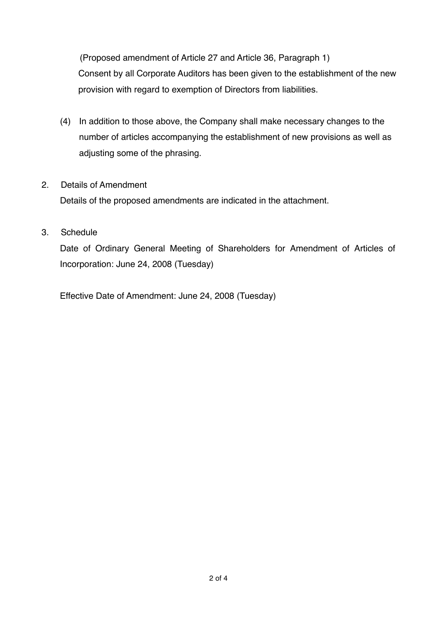(Proposed amendment of Article 27 and Article 36, Paragraph 1) Consent by all Corporate Auditors has been given to the establishment of the new provision with regard to exemption of Directors from liabilities.

(4) In addition to those above, the Company shall make necessary changes to the number of articles accompanying the establishment of new provisions as well as adjusting some of the phrasing.

## 2. Details of Amendment

Details of the proposed amendments are indicated in the attachment.

## 3. Schedule

Date of Ordinary General Meeting of Shareholders for Amendment of Articles of Incorporation: June 24, 2008 (Tuesday)

Effective Date of Amendment: June 24, 2008 (Tuesday)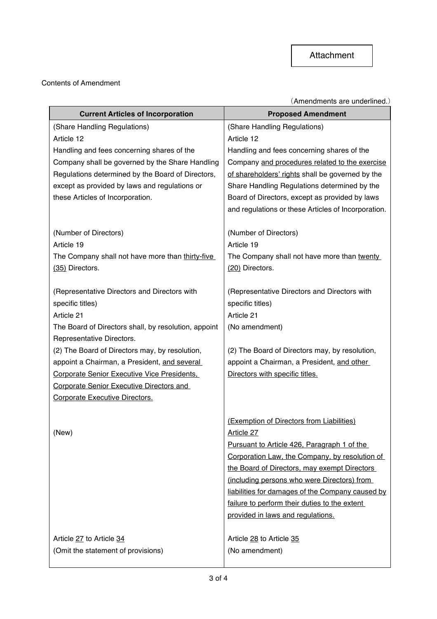#### Contents of Amendment

(Amendments are underlined.)

| <b>Current Articles of Incorporation</b>             | <b>Proposed Amendment</b>                           |
|------------------------------------------------------|-----------------------------------------------------|
| (Share Handling Regulations)                         | (Share Handling Regulations)                        |
| Article 12                                           | Article 12                                          |
| Handling and fees concerning shares of the           | Handling and fees concerning shares of the          |
| Company shall be governed by the Share Handling      | Company and procedures related to the exercise      |
| Regulations determined by the Board of Directors,    | of shareholders' rights shall be governed by the    |
| except as provided by laws and regulations or        | Share Handling Regulations determined by the        |
| these Articles of Incorporation.                     | Board of Directors, except as provided by laws      |
|                                                      | and regulations or these Articles of Incorporation. |
| (Number of Directors)                                | (Number of Directors)                               |
| Article 19                                           | Article 19                                          |
| The Company shall not have more than thirty-five     | The Company shall not have more than twenty         |
| (35) Directors.                                      | (20) Directors.                                     |
| (Representative Directors and Directors with         | (Representative Directors and Directors with        |
| specific titles)                                     | specific titles)                                    |
| Article 21                                           | Article 21                                          |
| The Board of Directors shall, by resolution, appoint | (No amendment)                                      |
| Representative Directors.                            |                                                     |
| (2) The Board of Directors may, by resolution,       | (2) The Board of Directors may, by resolution,      |
| appoint a Chairman, a President, and several         | appoint a Chairman, a President, and other          |
| Corporate Senior Executive Vice Presidents,          | Directors with specific titles.                     |
| <b>Corporate Senior Executive Directors and</b>      |                                                     |
| Corporate Executive Directors.                       |                                                     |
|                                                      | (Exemption of Directors from Liabilities)           |
| (New)                                                | Article 27                                          |
|                                                      | Pursuant to Article 426, Paragraph 1 of the         |
|                                                      | Corporation Law, the Company, by resolution of      |
|                                                      | the Board of Directors, may exempt Directors        |
|                                                      | (including persons who were Directors) from         |
|                                                      | liabilities for damages of the Company caused by    |
|                                                      | failure to perform their duties to the extent       |
|                                                      | provided in laws and regulations.                   |
| Article 27 to Article 34                             | Article 28 to Article 35                            |
| (Omit the statement of provisions)                   | (No amendment)                                      |